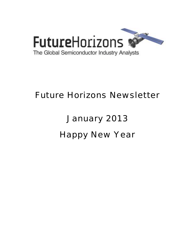

## Future Horizons Newsletter

# January 2013 Happy New Year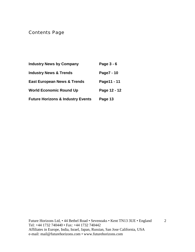Contents Page

| <b>Industry News by Company</b>              | Page 3 - 6   |
|----------------------------------------------|--------------|
| <b>Industry News &amp; Trends</b>            | Page7 - 10   |
| <b>East European News &amp; Trends</b>       | Page11 - 11  |
| <b>World Economic Round Up</b>               | Page 12 - 12 |
| <b>Future Horizons &amp; Industry Events</b> | Page 13      |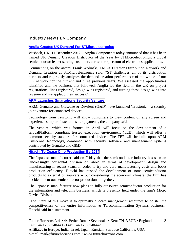#### Industry News By Company

#### **[Anglia Creates UK Demand For STMicroelectronics](http://www.equities.com/news/headline-story?dt=2012-12-11&val=809998&cat=industrial)**

Wisbech, UK, 11 December 2012 – Anglia Components today announced that it has been named UK Demand Creation Distributor of the Year by STMicroelectronics, a global semiconductor leader serving customers across the spectrum of electronics applications.

Commenting on the award, Frank Wolinski, EMEA Director Distribution Network and Demand Creation at STMicroelectronics said, "ST challenges all of its distribution partners and rigorously analyzes the demand creation performance of the whole of our UK network for the current and three previous years. We assessed the opportunities identified and the business that followed. Anglia led the field in the UK on project registrations, lines registered, design wins registered, and turning these design wins into revenue and we applaud their success."

#### **[ARM Launches Smartphone Security Venture](http://www.eetindia.co.in/ART_8800679598_1800001_NT_04424beb.HTM?click_from=8800100113,9950114561,2012-12-19,EEIOL,ARTICLE_ALERT)**

ARM, Gemalto and Giesecke & Devrient (G&D) have launched 'Trustonic'—a security joint venture for connected devices.

Technology from Trustonic will allow consumers to view content on any screen and experience simpler, faster and safer payments, the company said.

The venture, which was formed in April, will focus on the development of a GlobalPlatform compliant trusted execution environment (TEE), which will offer a common security standard for connected devices. The TEE will be built upon ARM TrustZone technology, combined with security software and management systems contributed by Gemalto and G&D.

#### **[Hitachi To Cease Chip Production By 2014](http://www.zdnet.com/hitachi-to-cease-chip-production-by-2014-7000008477/)**

The Japanese manufacturer said on Friday that the semiconductor industry has seen an "increasingly horizontal division of labor" in terms of development, design and manufacturing in recent years. In order to try and curb manufacturing costs and boost production efficiency, Hitachi has pushed the development of some semiconductor products to external outsourcers -- but considering the economic climate, the firm has decided to cut out semiconductor production altogether.

The Japanese manufacturer now plans to fully outsource semiconductor production for the information and telecoms business, which is presently held under the firm's Micro Device Division.

"The intent of this move is to optimally allocate management resources to bolster the competitiveness of the entire Information & Telecommunication Systems business." Hitachi said in a statement.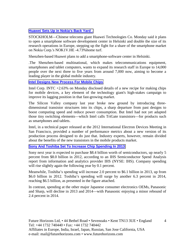#### **[Huawei Sets Up in Nokia's Back Yard .](http://online.wsj.com/article/SB10001424127887324024004578171000464690408.html?mod=djemTECH_t)**

STOCKHOLM—Chinese telecoms giant Huawei Technologies Co. Monday said it plans to open a smartphone software development center in Helsinki and double the size of its research operations in Europe, stepping up the fight for a share of the smartphone market on Nokia Corp.'s NOK1V.HE -4.73%home turf.

Shenzhen-based Huawei plans to add a smartphone-software center in Helsinki.

.The Shenzhen-based multinational, which makes telecommunications equipment, smartphones and tablet computers, wants to expand its research staff in Europe to 14,000 people over the next three to five years from around 7,000 now, aiming to become a leading player in the global mobile industry.

#### **[Intel Designs New Process For Mobile Chips](http://online.wsj.com/article/SB10001424127887323339704578171142664509344.html?mod=djemTechEurope_t)**

Intel Corp. INTC +2.63% on Monday disclosed details of a new recipe for making chips for mobile devices, a key element of the technology giant's high-stakes campaign to improve its lagging position in that fast-growing market.

The Silicon Valley company last year broke new ground by introducing threedimensional transistor structures into its chips, a sharp departure from past designs to boost computing speed and reduce power consumption. But Intel had not yet adapted those tiny switching elements—which Intel calls TriGate transistors—for products such as smartphones and tablets.

Intel, in a technical paper released at the 2012 International Electron Devices Meeting in San Francisco, provided a number of performance metrics about a new version of its production process designed to do just that. Industry experts, however, remain divided about the benefits of the new transistors in the mobile products market.

#### **[Sony And Toshiba Set To Increase Chip Spending In 2013](http://electronicsfeed.com/news/3442)**

Sony next year is expected to purchase \$8.4 billion worth of semiconductors, up nearly 5 percent from \$8.0 billion in 2012, according to an IHS Semiconductor Spend Analysis report from information and analytics provider IHS (NYSE: IHS). Company spending will rise slightly again the following year by 0.1 percent.

Meanwhile, Toshiba's spending will increase 2.0 percent to \$6.1 billion in 2013, up from \$6.0 billion in 2012. Toshiba's spending will surge by another 6.3 percent in 2014, reaching \$6.5 billion, as presented in the figure attached.

In contrast, spending at the other major Japanese consumer electronics OEMs, Panasonic and Sharp, will decline in 2013 and 2014—with Panasonic enjoying a minor rebound of 2.4 percent in 2014.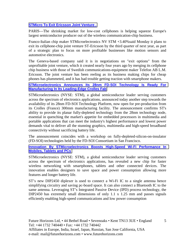#### **[STMicro To Exit Ericsson Joint Venture .](http://online.wsj.com/article/SB10001424127887324024004578170533312040670.html?mod=djemWorldAtGlance)**

PARIS—The shrinking market for low-cost cellphones is helping squeeze Europe's largest semiconductor producer out of the wireless communication-chip business.

Franco-Italian chip maker STMicroelectronics NV STM +3.40%said Monday it plans to exit its cellphone-chip joint venture ST-Ericsson by the third quarter of next year, as part of a strategic plan to focus on more profitable businesses like motion sensors and automotive electronics.

The Geneva-based company said it is in negotiations on "exit options" from the unprofitable joint venture, which it created nearly four years ago by merging its cellphone chip business with those of Swedish communications-equipment maker Telefon AB L.M. Ericsson. The joint venture has been reeling as its business making chips for cheap phones has plummeted, and it has had trouble getting traction with smartphone makers.

#### **[STMicroelectronics Announces Its 28nm FD-SOI Technology Is Ready For](http://www.reuters.com/article/2012/12/11/idUS43990+11-Dec-2012+HUG20121211)  [Manufacturing In Its Leading-Edge Crolles Fab](http://www.reuters.com/article/2012/12/11/idUS43990+11-Dec-2012+HUG20121211)**

STMicroelectronics (NYSE: STM), a global semiconductor leader serving customers across the spectrum of electronics applications, announced today another step towards the availability of its 28nm FD-SOI Technology Platform, now open for pre-production from its Crolles (France) 300mm manufacturing facility. The announcement confirms ST's ability to provide its planar fully-depleted technology from the 28nm technology node, essential in quenching the market's appetite for embedded processors in multimedia and portable applications that can meet the industry's highest performance and lowest power demands vital to deliver all the stunning graphics, multimedia and high-speed broadband connectivity without sacrificing battery life.

The announcement coincides with a workshop on fully-depleted-silicon-on-insulator (FD-SOI) technologies held by the FD-SOI Consortium in San Francisco.

**[Innovation By STMicroelectronics Boosts High-Speed Wi-Fi Performance In](http://www.st.com/internet/com/press_release/p3367.jsp)  [Mobiles, Tablets and PCs](http://www.st.com/internet/com/press_release/p3367.jsp)**

STMicroelectronics (NYSE: STM), a global semiconductor leader serving customers across the spectrum of electronics applications, has revealed a new chip for faster wireless networking with smartphones, tablets and other connected devices. The innovation enables designers to save space and power consumption allowing more features and longer battery life.

ST's new DIP2450 diplexer is used to connect a Wi-Fi IC to a single antenna hence simplifying circuitry and saving pc-board space. It can also connect a Bluetooth IC to the same antenna. Leveraging ST's Integrated Passive Device (IPD) process technology, the DIP2450 has extremely small dimensions of only 1.1 x 1.25 mm and passes signals efficiently enabling high-speed communications and low power consumption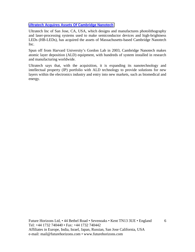#### **[Ultratech Acquires Assets Of Cambridge Nanotech](http://www.semiconductor-today.com/news_items/2012/DEC/ULTRATECH_211212.html)**

Ultratech Inc of San Jose, CA, USA, which designs and manufactures photolithography and laser-processing systems used to make semiconductor devices and high-brightness LEDs (HB-LEDs), has acquired the assets of Massachusetts-based Cambridge Nanotech Inc.

Spun off from Harvard University's Gordon Lab in 2003, Cambridge Nanotech makes atomic layer deposition (ALD) equipment, with hundreds of system installed in research and manufacturing worldwide.

Ultratech says that, with the acquisition, it is expanding its nanotechnology and intellectual property (IP) portfolio with ALD technology to provide solutions for new layers within the electronics industry and entry into new markets, such as biomedical and energy.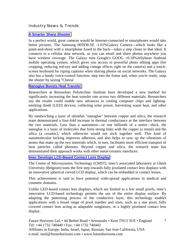#### Industry News & Trends

#### **[A Smarter Sharp Shooter](http://online.wsj.com/article/SB10001424127887324705104578151763148210402.html?mod=djemTECH_t)**

Iu a perfect world, great cameras would be Internet-connected or smartphones would take better pictures. The Samsung 005930.SE -1.01%Galaxy Camera—which looks like a point-and-shoot with a smartphone fused to the back—takes a step closer to that ideal. It connects to a cellular data network, so you can email and share photos anywhere you have wireless coverage. The Galaxy runs Google's GOOG +0.18%Jellybean Android mobile operating system, which gives you access to powerful photo editing apps (for cropping, reducing red-eye and adding vintage effects right on the camera) and a touchscreen keyboard for typing captions when sharing photos on social networks. The Galaxy also has a handy voice-control function: step into the frame and, when you're ready, snap the shutter by saying "Cheese

#### **[Nanoglue Boosts Heat Transfer](http://www.eetindia.co.in/ART_8800679096_1800007_NT_b035b286.HTM?click_from=8800099995,9950114561,2012-12-11,EEIOL,ARTICLE_ALERT)**

Researchers at Rensselaer Polytechnic Institute have developed a new method for significantly increasing the heat transfer rate across two different materials. Researchers say the results could enable new advances in cooling computer chips and lightingemitting diode (LED) devices, collecting solar power, harvesting waste heat, and other applications.

By sandwiching a layer of ultrathin "nanoglue" between copper and silica, the research team demonstrated a four-fold increase in thermal conductance at the interface between the two materials. Less than a nanometre—or one billionth of a metre—thick, the nanoglue is a layer of molecules that form strong links with the copper (a metal) and the silica (a ceramic), which otherwise would not stick together well. This kind of nanomolecular locking improves adhesion, and also helps to sync up the vibrations of atoms that make up the two materials which, in turn, facilitates more efficient transport of heat particles called phonons. Beyond copper and silica, the research team has demonstrated their approach works with other metal-ceramic interfaces.

#### **[Imec Develops LCD-Based Contact Lens Display](http://www.eetindia.co.in/ART_8800679144_1800010_NT_092fb8e2.HTM?click_from=8800099995,9950114561,2012-12-11,EEIOL,ARTICLE_ALERT)**

The Centre of Microsystems Technology (CMST), imec's associated laboratory at Ghent University (Belgium) touts the first step towards fully pixelated contact lens displays with an innovative spherical curved LCD display, which can be embedded in contact lenses.

This achievement is said to have potential wide-spread applications in medical and cosmetic domains.

Unlike LED-based contact lens displays, which are limited to a few small pixels, imec's innovative LCD-based technology permits the use of the entire display surface. By adapting the patterning process of the conductive layer, this technology enables applications with a broad range of pixel number and sizes, such as a one pixel, fully covered contact lens acting as adaptable sunglasses, or a highly pixelated contact lens display.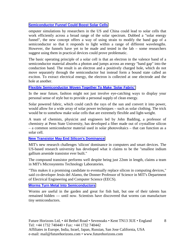#### **[Semiconductor Funnel Could Boost Solar Cells](http://physicsworld.com/cws/article/news/2012/dec/04/semiconductor-funnel-could-boost-solar-cells)**

omputer simulations by researchers in the US and China could lead to solar cells that work efficiently across a broad range of the solar spectrum. Dubbed a "solar energy funnel", the new concept offers a way of using strain to modify the band gap of a semiconductor so that it responds to light within a range of different wavelengths. However, the funnels have yet to be made and tested in the lab – some researchers suggest using them in practical devices could prove problematic.

The basic operating principle of a solar cell is that an electron in the valence band of a semiconductor material absorbs a photon and jumps across an energy "band gap" into the conduction band. The result is an electron and a positively charged hole, which do not move separately through the semiconductor but instead form a bound state called an exciton. To extract electrical energy, the electron is collected at one electrode and the hole at another.

#### **[Flexible Semiconductor Woven Together To Make 'Solar Fabric'](http://www.ecoseed.org/technology/15865-flexible-semiconductor-woven-together-to-make-solar-fabric)**

In the near future, fashion might not just involve eye-catching ways to display your personal sense of style but to provide a personal supply of clean energy.

Solar powered fabric, which could catch the rays of the sun and convert it into power, would allow for a wide array of solar power techniques – such as solar clothing. The trick would be to somehow make solar cells that are extremely flexible and light-weight.

A team of chemists, physicist and engineers led by John Badding, a professor of chemistry at Penn State University, has developed a fiber made out of crystalline silicon – a common semiconductor material used in solar photovoltaics – that can function as a solar cell.

#### **[New Transistor May End Silicon's Dominance](http://www.eetindia.co.in/ART_8800679276_1800001_NT_4bd51ef1.HTM?click_from=8800100013,9950114561,2012-12-12,EEIOL,ARTICLE_ALERT)**

MIT's new research challenges 'silicon' dominance in computers and smart devices. The US-based research university has developed what it claims to be the "smallest indium gallium arsenide transistor ever built."

The compound transistor performs well despite being just 22nm in length, claims a team in MIT's Microsystems Technology Laboratories.

"This makes it a promising candidate to eventually replace silicon in computing devices," said co-developer Jesús del Alamo, the Donner Professor of Science in MIT's Department of Electrical Engineering and Computer Science (EECS).

#### **[Worms Turn Metal Into Semiconductors](http://news.yahoo.com/worms-turn-metal-semiconductors-174612256.html)**

Worms are useful in the garden and great for fish bait, but one of their talents has remained hidden — until now. Scientists have discovered that worms can manufacture tiny semiconductors.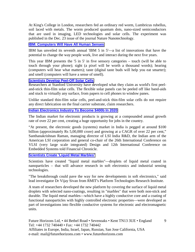At King's College in London, researchers fed an ordinary red worm, Lumbricus rubellus, soil laced with metals. The worm produced quantum dots, nano-sized semiconductors that are used in imaging, LED technologies and solar cells. The experiment was published in the Dec. 23 issue of the journal Nature Nanotechnology.

#### **[IBM: Computers Will Have All Human Senses](http://www.eetindia.co.in/ART_8800679546_1800004_NT_a9f0477e.HTM?click_from=8800100096,9950114561,2012-12-18,EEIOL,ARTICLE_ALERT)**

IBM has unveiled its seventh annual 'IBM 5 in 5'—a list of innovations that have the potential to change the way people work, live and interact during the next five years.

This year IBM presents the '5 in 5' in five sensory categories – touch (will be able to touch through your phone); sight (a pixel will be worth a thousand words); hearing (computers will hear what matters); taste (digital taste buds will help you eat smarter); and smell (computers will have a sense of smell).

#### **[Scientists Develop Peel-Off Solar Cells](http://www.eetindia.co.in/ART_8800679898_1800008_NT_ac6ae3a8.HTM?click_from=8800100210,9950114561,2012-12-26,EEIOL,ARTICLE_ALERT)**

Researchers at Stanford University have developed what they claim as world's first peeland-stick thin-film solar cells. The flexible solar panels can be peeled off like band-aids and stuck to virtually any surface, from papers to cell phones to window panes.

Unlike standard thin-film solar cells, peel-and-stick thin-film solar cells do not require any direct fabrication on the final carrier substrate, claim researchers.

#### **[Indian Electronics Industry To Become \\$400b In 2020](http://www.mydigitalfc.com/news/indian-electronics-industry-become-400b-2020-458)**

The Indian market for electronic products is growing at a compounded annual growth rate of over 22 per cent, creating a huge opportunity for jobs in the country.

"At present, the electronic goods (systems) market in India is pegged at around \$100 billion (approximately Rs 5,00,000 crore) and growing at a CAGR of over 22 per cent," Santhanakrishnan Raman, managing director of LSI India R&D, the Indian arm of the American LSI corporation and general co-chair of the 26th International Conference on VLSI (very large scale integrated) Design and 12th International Conference on Embedded Systems told Financial Chronicle.

#### **[Scientists Create 'Liquid Metal Marbles'](http://www.eetindia.co.in/ART_8800680559_1800015_NT_c23cfd0b.HTM?click_from=8800100476,9950114561,2013-01-15,EEIOL,ARTICLE_ALERT)**

Scientists have created "liquid metal marbles"—droplets of liquid metal coated in nanoparticles – that will advance research in soft electronics and industrial sensing technologies.

"The breakthrough could pave the way for new developments in soft electronics," said lead investigator Dr Vijay Sivan from RMIT's Platform Technologies Research Institute.

A team of researchers developed the new platform by covering the surface of liquid metal droplets with selected nano-coatings, resulting in "marbles" that were both non-stick and durable. The liquid metal marbles—which have a highly conductive core and a coating of functional nanoparticles with highly controlled electronic properties—were developed as part of investigations into flexible conductive systems for electronic and electromagnetic units.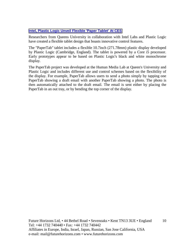#### **[Intel, Plastic Logic Unveil Flexible 'Paper Tablet' At CES](http://www.eetindia.co.in/ART_8800680353_1800012_NT_35fea8a2.HTM?click_from=8800100476,9950114561,2013-01-15,EEIOL,ARTICLE_ALERT)**

Researchers from Queens University in collaboration with Intel Labs and Plastic Logic have created a flexible tablet design that boasts innovative control features.

The "PaperTab" tablet includes a flexible 10.7inch (271.78mm) plastic display developed by Plastic Logic (Cambridge, England). The tablet is powered by a Core i5 processor. Early prototypes appear to be based on Plastic Logic's black and white monochrome display.

The PaperTab project was developed at the Human Media Lab at Queen's University and Plastic Logic and includes different use and control schemes based on the flexibility of the display. For example, PaperTab allows users to send a photo simply by tapping one PaperTab showing a draft email with another PaperTab showing a photo. The photo is then automatically attached to the draft email. The email is sent either by placing the PaperTab in an out tray, or by bending the top corner of the display.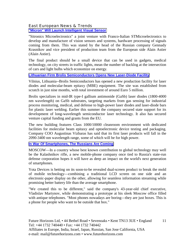East European News & Trends **["Micron" Will Launch Intelligent Visual Sensor](http://www.cnews.ru/top/2012/12/07/mikron_zaymetsya_vypuskom_umnyh_videosensorov_512012)**

"Sitronics Microelectronics" a joint venture with Franco-Italian STMicroelectronics to develop and manufacture of vision sensors and systems, hardware processing of signals coming from them. This was stated by the head of the Russian company Gennady Krasnikov and vice president of production team from the European side Alain Astier (Alain Astier).

The final product should be a small device that can be used in gadgets, medical technology, on city streets in traffic lights, mean the number of backlog at the intersection of cars and light bulbs which economize on energy.

#### **[Lithuanian Firm Brolis Semiconductors Opens New Laser-Diode Facility](http://www.laserfocusworld.com/articles/2012/12/lithuanian-firm-brolis-semiconductors-opens-new-laser-diode-facility.html)**

Vilnius, Lithuania--Brolis Semiconductors has opened a new production facility for laser diodes and molecular-beam epitaxy (MBE) equipment. The site was established from scratch in just nine months, with total investment of around Euro 5 million.

Brolis specializes in mid-IR type-I gallium antimonide (GaSb) laser diodes (1800-4000 nm wavelength) on GaSb substrates, targeting markets from gas sensing for industrial process monitoring, medical, and defense to high-power laser diodes and laser-diode bars for plastic laser welding. Earlier this summer the company secured state support for its development of long-wavelength semiconductor laser technology. It also has secured venture capital funding and grants from the EU.

The new building features Class 1000/10000 cleanroom environment with dedicated facilities for molecular beam epitaxy and optoelectronic device testing and packaging. Company COO Augustinas Vizbaras has said that its first laser products will fall in the 2090-3400 nm wavelength range, some of which will be for high power.

#### **[In War Of Smartphones, The Russians Are Coming](http://online.wsj.com/article/SB10001424127887323339704578173173413977046.html?mod=djemTechEurope_t)**

MOSCOW—In a country whose best known contribution to global technology may well be the Kalashnikov rifle, a new mobile-phone company once tied to Russia's state-run defense corporation hopes it will have as deep an impact on the world's next generation of smartphones.

Yota Devices is betting on its soon-to-be revealed dual-screen product to break the mold of mobile technology—combining a traditional LCD screen on one side and an electronic-paper display on the other, allowing for seamless information streaming while promising better battery life than the average smartphone.

"We created this to be different," said the company's 43-year-old chief executive, Vladislav Martynov, while demonstrating a prototype at his sleek Moscow office filled with antique telephones. "Most phones nowadays are boring—they are just boxes. This is a phone for people who want to be outside that box."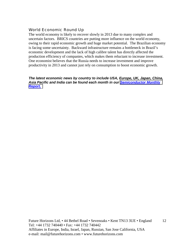#### World Economic Round Up

The world economy is likely to recover slowly in 2013 due to many complex and uncertain factors. BRICS countries are putting more influence on the world economy, owing to their rapid economic growth and huge market potential. The Brazilian economy is facing some uncertainty. Backward infrastructure remains a bottleneck in Brazil's economic development and the lack of high calibre talent has directly affected the production efficiency of companies, which makes them reluctant to increase investment. One economist believes that the Russia needs to increase investment and improve productivity in 2013 and cannot just rely on consumption to boost economic growth.

*The latest economic news by country to include USA, Europe, UK, Japan, China, Asia Pacific and India can be found each month in our [Semiconductor Monthly](http://www.futurehorizons.com/page/18/Global-Semiconductor-Report)  [Report.](http://www.futurehorizons.com/page/18/Global-Semiconductor-Report)*